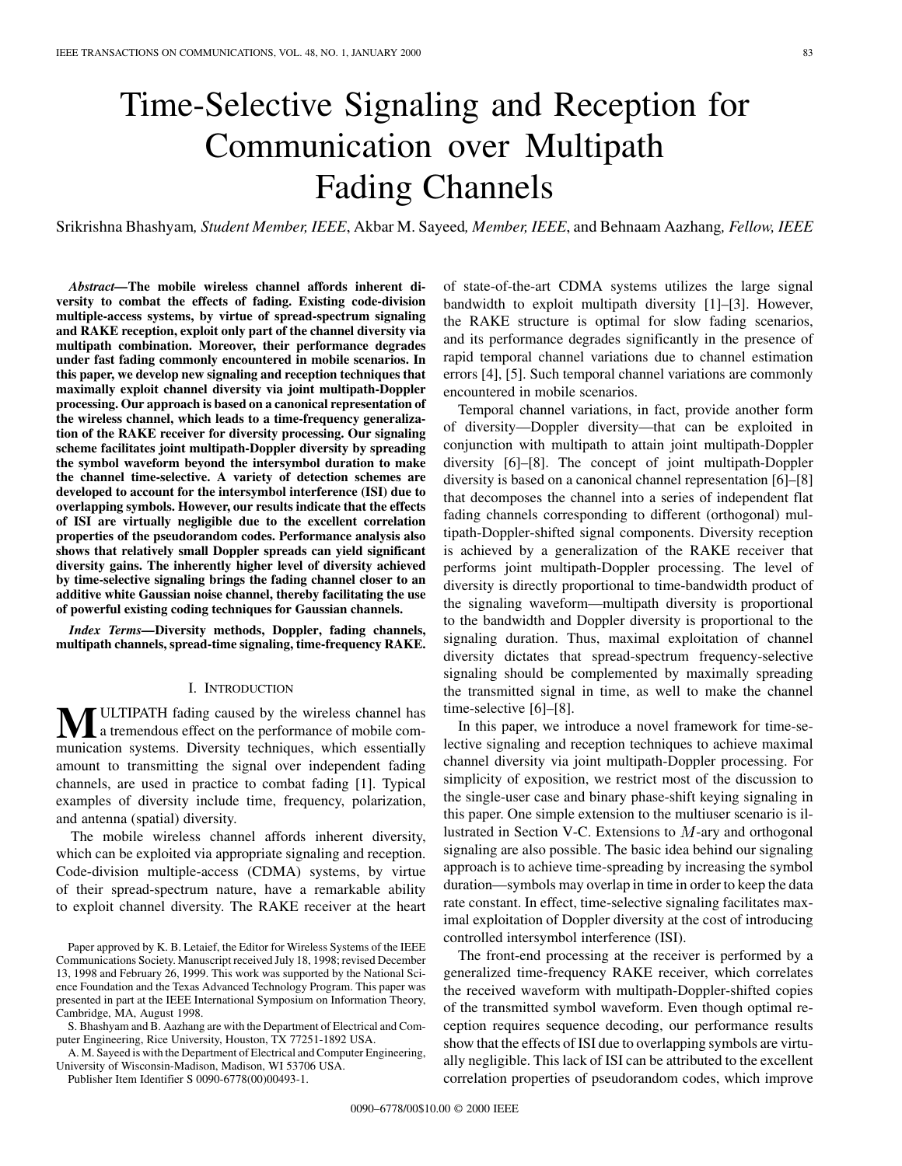# Time-Selective Signaling and Reception for Communication over Multipath Fading Channels

Srikrishna Bhashyam*, Student Member, IEEE*, Akbar M. Sayeed*, Member, IEEE*, and Behnaam Aazhang*, Fellow, IEEE*

*Abstract—***The mobile wireless channel affords inherent diversity to combat the effects of fading. Existing code-division multiple-access systems, by virtue of spread-spectrum signaling and RAKE reception, exploit only part of the channel diversity via multipath combination. Moreover, their performance degrades under fast fading commonly encountered in mobile scenarios. In this paper, we develop new signaling and reception techniques that maximally exploit channel diversity via joint multipath-Doppler processing. Our approach is based on a canonical representation of the wireless channel, which leads to a time-frequency generalization of the RAKE receiver for diversity processing. Our signaling scheme facilitates joint multipath-Doppler diversity by spreading the symbol waveform beyond the intersymbol duration to make the channel time-selective. A variety of detection schemes are developed to account for the intersymbol interference (ISI) due to overlapping symbols. However, our results indicate that the effects of ISI are virtually negligible due to the excellent correlation properties of the pseudorandom codes. Performance analysis also shows that relatively small Doppler spreads can yield significant diversity gains. The inherently higher level of diversity achieved by time-selective signaling brings the fading channel closer to an additive white Gaussian noise channel, thereby facilitating the use of powerful existing coding techniques for Gaussian channels.**

*Index Terms—***Diversity methods, Doppler, fading channels, multipath channels, spread-time signaling, time-frequency RAKE.**

# I. INTRODUCTION

**M**ULTIPATH fading caused by the wireless channel has<br>a tremendous effect on the performance of mobile com-<br>munication, sustains Diversity toolniques, which assembly munication systems. Diversity techniques, which essentially amount to transmitting the signal over independent fading channels, are used in practice to combat fading [1]. Typical examples of diversity include time, frequency, polarization, and antenna (spatial) diversity.

The mobile wireless channel affords inherent diversity, which can be exploited via appropriate signaling and reception. Code-division multiple-access (CDMA) systems, by virtue of their spread-spectrum nature, have a remarkable ability to exploit channel diversity. The RAKE receiver at the heart

S. Bhashyam and B. Aazhang are with the Department of Electrical and Computer Engineering, Rice University, Houston, TX 77251-1892 USA.

A. M. Sayeed is with the Department of Electrical and Computer Engineering, University of Wisconsin-Madison, Madison, WI 53706 USA.

Publisher Item Identifier S 0090-6778(00)00493-1.

of state-of-the-art CDMA systems utilizes the large signal bandwidth to exploit multipath diversity [1]–[3]. However, the RAKE structure is optimal for slow fading scenarios, and its performance degrades significantly in the presence of rapid temporal channel variations due to channel estimation errors [4], [5]. Such temporal channel variations are commonly encountered in mobile scenarios.

Temporal channel variations, in fact, provide another form of diversity—Doppler diversity—that can be exploited in conjunction with multipath to attain joint multipath-Doppler diversity [6]–[8]. The concept of joint multipath-Doppler diversity is based on a canonical channel representation [6]–[8] that decomposes the channel into a series of independent flat fading channels corresponding to different (orthogonal) multipath-Doppler-shifted signal components. Diversity reception is achieved by a generalization of the RAKE receiver that performs joint multipath-Doppler processing. The level of diversity is directly proportional to time-bandwidth product of the signaling waveform—multipath diversity is proportional to the bandwidth and Doppler diversity is proportional to the signaling duration. Thus, maximal exploitation of channel diversity dictates that spread-spectrum frequency-selective signaling should be complemented by maximally spreading the transmitted signal in time, as well to make the channel time-selective [6]–[8].

In this paper, we introduce a novel framework for time-selective signaling and reception techniques to achieve maximal channel diversity via joint multipath-Doppler processing. For simplicity of exposition, we restrict most of the discussion to the single-user case and binary phase-shift keying signaling in this paper. One simple extension to the multiuser scenario is illustrated in Section V-C. Extensions to  $M$ -ary and orthogonal signaling are also possible. The basic idea behind our signaling approach is to achieve time-spreading by increasing the symbol duration—symbols may overlap in time in order to keep the data rate constant. In effect, time-selective signaling facilitates maximal exploitation of Doppler diversity at the cost of introducing controlled intersymbol interference (ISI).

The front-end processing at the receiver is performed by a generalized time-frequency RAKE receiver, which correlates the received waveform with multipath-Doppler-shifted copies of the transmitted symbol waveform. Even though optimal reception requires sequence decoding, our performance results show that the effects of ISI due to overlapping symbols are virtually negligible. This lack of ISI can be attributed to the excellent correlation properties of pseudorandom codes, which improve

Paper approved by K. B. Letaief, the Editor for Wireless Systems of the IEEE Communications Society. Manuscript received July 18, 1998; revised December 13, 1998 and February 26, 1999. This work was supported by the National Science Foundation and the Texas Advanced Technology Program. This paper was presented in part at the IEEE International Symposium on Information Theory, Cambridge, MA, August 1998.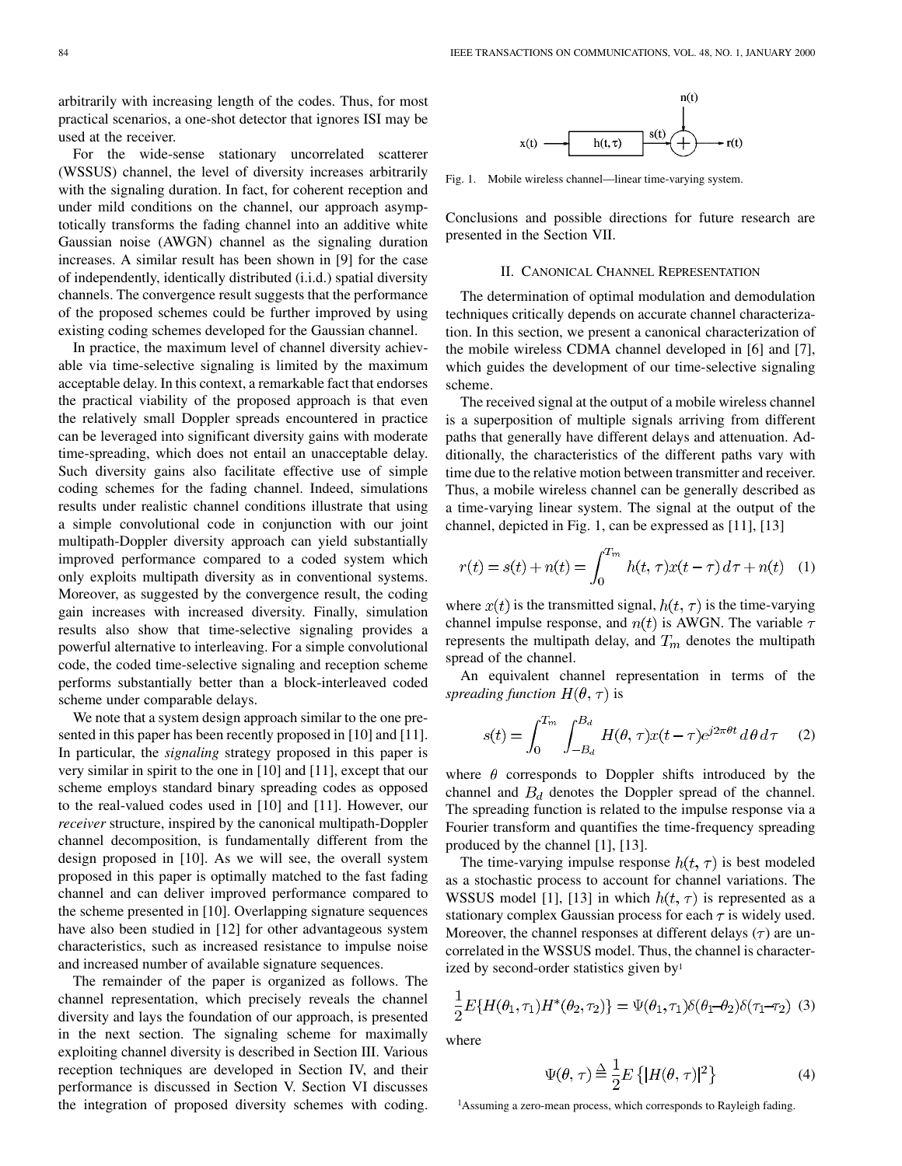arbitrarily with increasing length of the codes. Thus, for most practical scenarios, a one-shot detector that ignores ISI may be used at the receiver.

For the wide-sense stationary uncorrelated scatterer (WSSUS) channel, the level of diversity increases arbitrarily with the signaling duration. In fact, for coherent reception and under mild conditions on the channel, our approach asymptotically transforms the fading channel into an additive white Gaussian noise (AWGN) channel as the signaling duration increases. A similar result has been shown in [9] for the case of independently, identically distributed (i.i.d.) spatial diversity channels. The convergence result suggests that the performance of the proposed schemes could be further improved by using existing coding schemes developed for the Gaussian channel.

In practice, the maximum level of channel diversity achievable via time-selective signaling is limited by the maximum acceptable delay. In this context, a remarkable fact that endorses the practical viability of the proposed approach is that even the relatively small Doppler spreads encountered in practice can be leveraged into significant diversity gains with moderate time-spreading, which does not entail an unacceptable delay. Such diversity gains also facilitate effective use of simple coding schemes for the fading channel. Indeed, simulations results under realistic channel conditions illustrate that using a simple convolutional code in conjunction with our joint multipath-Doppler diversity approach can yield substantially improved performance compared to a coded system which only exploits multipath diversity as in conventional systems. Moreover, as suggested by the convergence result, the coding gain increases with increased diversity. Finally, simulation results also show that time-selective signaling provides a powerful alternative to interleaving. For a simple convolutional code, the coded time-selective signaling and reception scheme performs substantially better than a block-interleaved coded scheme under comparable delays.

We note that a system design approach similar to the one presented in this paper has been recently proposed in [10] and [11]. In particular, the *signaling* strategy proposed in this paper is very similar in spirit to the one in [10] and [11], except that our scheme employs standard binary spreading codes as opposed to the real-valued codes used in [10] and [11]. However, our *receiver* structure, inspired by the canonical multipath-Doppler channel decomposition, is fundamentally different from the design proposed in [10]. As we will see, the overall system proposed in this paper is optimally matched to the fast fading channel and can deliver improved performance compared to the scheme presented in [10]. Overlapping signature sequences have also been studied in [12] for other advantageous system characteristics, such as increased resistance to impulse noise and increased number of available signature sequences.

The remainder of the paper is organized as follows. The channel representation, which precisely reveals the channel diversity and lays the foundation of our approach, is presented in the next section. The signaling scheme for maximally exploiting channel diversity is described in Section III. Various reception techniques are developed in Section IV, and their performance is discussed in Section V. Section VI discusses the integration of proposed diversity schemes with coding.



Fig. 1. Mobile wireless channel—linear time-varying system.

Conclusions and possible directions for future research are presented in the Section VII.

#### II. CANONICAL CHANNEL REPRESENTATION

The determination of optimal modulation and demodulation techniques critically depends on accurate channel characterization. In this section, we present a canonical characterization of the mobile wireless CDMA channel developed in [6] and [7], which guides the development of our time-selective signaling scheme.

The received signal at the output of a mobile wireless channel is a superposition of multiple signals arriving from different paths that generally have different delays and attenuation. Additionally, the characteristics of the different paths vary with time due to the relative motion between transmitter and receiver. Thus, a mobile wireless channel can be generally described as a time-varying linear system. The signal at the output of the channel, depicted in Fig. 1, can be expressed as [11], [13]

$$
r(t) = s(t) + n(t) = \int_0^{T_m} h(t, \tau) x(t - \tau) d\tau + n(t) \quad (1)
$$

where  $x(t)$  is the transmitted signal,  $h(t, \tau)$  is the time-varying channel impulse response, and  $n(t)$  is AWGN. The variable  $\tau$ represents the multipath delay, and  $T_m$  denotes the multipath spread of the channel.

An equivalent channel representation in terms of the *spreading function*  $H(\theta, \tau)$  is

$$
s(t) = \int_0^{T_m} \int_{-B_d}^{B_d} H(\theta, \tau) x(t - \tau) e^{j2\pi\theta t} d\theta d\tau \tag{2}
$$

where  $\theta$  corresponds to Doppler shifts introduced by the channel and  $B_d$  denotes the Doppler spread of the channel. The spreading function is related to the impulse response via a Fourier transform and quantifies the time-frequency spreading produced by the channel [1], [13].

The time-varying impulse response  $h(t, \tau)$  is best modeled as a stochastic process to account for channel variations. The WSSUS model [1], [13] in which  $h(t, \tau)$  is represented as a stationary complex Gaussian process for each  $\tau$  is widely used. Moreover, the channel responses at different delays  $(\tau)$  are uncorrelated in the WSSUS model. Thus, the channel is characterized by second-order statistics given by<sup>1</sup>

$$
\frac{1}{2}E\{H(\theta_1,\tau_1)H^*(\theta_2,\tau_2)\}=\Psi(\theta_1,\tau_1)\delta(\theta_1-\theta_2)\delta(\tau_1-\tau_2)
$$
 (3)

where

$$
\Psi(\theta,\,\tau) \stackrel{\Delta}{=} \frac{1}{2} E\left\{ |H(\theta,\,\tau)|^2 \right\} \tag{4}
$$

<sup>1</sup>Assuming a zero-mean process, which corresponds to Rayleigh fading.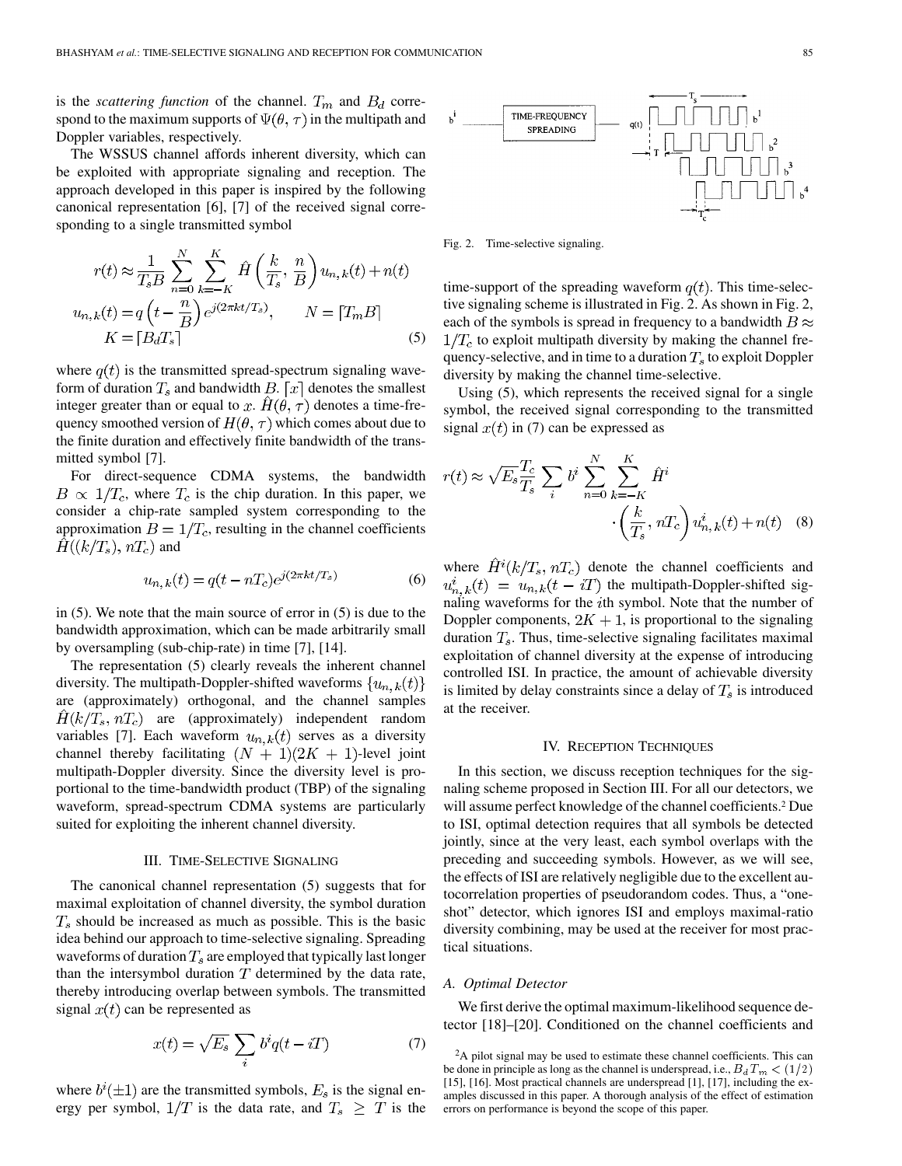is the *scattering function* of the channel.  $T_m$  and  $B_d$  correspond to the maximum supports of  $\Psi(\theta, \tau)$  in the multipath and Doppler variables, respectively.

The WSSUS channel affords inherent diversity, which can be exploited with appropriate signaling and reception. The approach developed in this paper is inspired by the following canonical representation [6], [7] of the received signal corresponding to a single transmitted symbol

$$
r(t) \approx \frac{1}{T_s B} \sum_{n=0}^{N} \sum_{k=-K}^{K} \hat{H}\left(\frac{k}{T_s}, \frac{n}{B}\right) u_{n,k}(t) + n(t)
$$
  

$$
u_{n,k}(t) = q\left(t - \frac{n}{B}\right) e^{j(2\pi kt/T_s)}, \qquad N = \lfloor T_m B \rfloor
$$
  

$$
K = \lfloor B_d T_s \rfloor
$$
 (5)

where  $q(t)$  is the transmitted spread-spectrum signaling waveform of duration  $T_s$  and bandwidth B.  $\lceil x \rceil$  denotes the smallest integer greater than or equal to x.  $\hat{H}(\theta, \tau)$  denotes a time-frequency smoothed version of  $H(\theta, \tau)$  which comes about due to the finite duration and effectively finite bandwidth of the transmitted symbol [7].

For direct-sequence CDMA systems, the bandwidth  $B \propto 1/T_c$ , where  $T_c$  is the chip duration. In this paper, we consider a chip-rate sampled system corresponding to the approximation  $B = 1/T_c$ , resulting in the channel coefficients  $H((k/T_s), nT_c)$  and

$$
u_{n,k}(t) = q(t - nT_c)e^{j(2\pi kt/T_s)}
$$
(6)

in (5). We note that the main source of error in (5) is due to the bandwidth approximation, which can be made arbitrarily small by oversampling (sub-chip-rate) in time [7], [14].

The representation (5) clearly reveals the inherent channel diversity. The multipath-Doppler-shifted waveforms  $\{u_{n,k}(t)\}$ are (approximately) orthogonal, and the channel samples  $H(k/T_s, nT_c)$  are (approximately) independent random variables [7]. Each waveform  $u_{n,k}(t)$  serves as a diversity channel thereby facilitating  $(N + 1)(2K + 1)$ -level joint multipath-Doppler diversity. Since the diversity level is proportional to the time-bandwidth product (TBP) of the signaling waveform, spread-spectrum CDMA systems are particularly suited for exploiting the inherent channel diversity.

#### III. TIME-SELECTIVE SIGNALING

The canonical channel representation (5) suggests that for maximal exploitation of channel diversity, the symbol duration  $T<sub>s</sub>$  should be increased as much as possible. This is the basic idea behind our approach to time-selective signaling. Spreading waveforms of duration  $T_s$  are employed that typically last longer than the intersymbol duration  $T$  determined by the data rate, thereby introducing overlap between symbols. The transmitted signal  $x(t)$  can be represented as

$$
x(t) = \sqrt{E_s} \sum_i b^i q(t - iT)
$$
 (7)

where  $b^i(\pm 1)$  are the transmitted symbols,  $E_s$  is the signal energy per symbol,  $1/T$  is the data rate, and  $T_s \geq T$  is the



Fig. 2. Time-selective signaling.

time-support of the spreading waveform  $q(t)$ . This time-selective signaling scheme is illustrated in Fig. 2. As shown in Fig. 2, each of the symbols is spread in frequency to a bandwidth  $B \approx$  $1/T_c$  to exploit multipath diversity by making the channel frequency-selective, and in time to a duration  $T_s$  to exploit Doppler diversity by making the channel time-selective.

Using (5), which represents the received signal for a single symbol, the received signal corresponding to the transmitted signal  $x(t)$  in (7) can be expressed as

$$
r(t) \approx \sqrt{E_s} \frac{T_c}{T_s} \sum_i b^i \sum_{n=0}^N \sum_{k=-K}^K \hat{H}^i
$$

$$
\cdot \left(\frac{k}{T_s}, nT_c\right) u_{n,k}^i(t) + n(t) \quad (8)
$$

where  $\hat{H}^i(k/T_s, nT_c)$  denote the channel coefficients and  $u_{n,k}^i(t) = u_{n,k}(t - iT)$  the multipath-Doppler-shifted signaling waveforms for the  $i$ th symbol. Note that the number of Doppler components,  $2K + 1$ , is proportional to the signaling duration  $T_s$ . Thus, time-selective signaling facilitates maximal exploitation of channel diversity at the expense of introducing controlled ISI. In practice, the amount of achievable diversity is limited by delay constraints since a delay of  $T_s$  is introduced at the receiver.

## IV. RECEPTION TECHNIQUES

In this section, we discuss reception techniques for the signaling scheme proposed in Section III. For all our detectors, we will assume perfect knowledge of the channel coefficients.<sup>2</sup> Due to ISI, optimal detection requires that all symbols be detected jointly, since at the very least, each symbol overlaps with the preceding and succeeding symbols. However, as we will see, the effects of ISI are relatively negligible due to the excellent autocorrelation properties of pseudorandom codes. Thus, a "oneshot" detector, which ignores ISI and employs maximal-ratio diversity combining, may be used at the receiver for most practical situations.

#### *A. Optimal Detector*

We first derive the optimal maximum-likelihood sequence detector [18]–[20]. Conditioned on the channel coefficients and

<sup>2</sup>A pilot signal may be used to estimate these channel coefficients. This can be done in principle as long as the channel is underspread, i.e.,  $B_d T_m < (1/2)$ [15], [16]. Most practical channels are underspread [1], [17], including the examples discussed in this paper. A thorough analysis of the effect of estimation errors on performance is beyond the scope of this paper.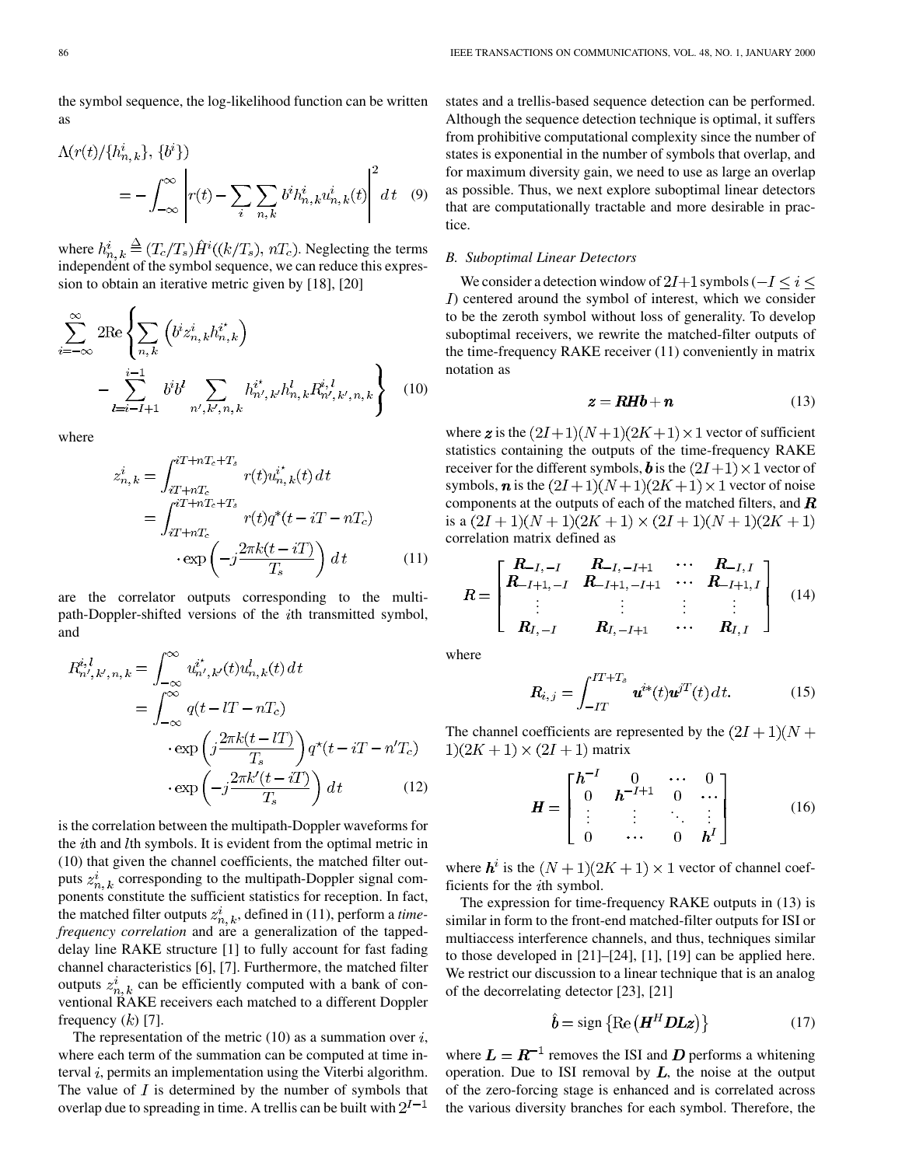the symbol sequence, the log-likelihood function can be written as

$$
\Lambda(r(t)/\{h_{n,k}^i\}, \{b^i\})
$$
  
= 
$$
-\int_{-\infty}^{\infty} \left| r(t) - \sum_i \sum_{n,k} b^i h_{n,k}^i u_{n,k}^i(t) \right|^2 dt
$$
 (9)

where  $h_{n,k}^i \triangleq (T_c/T_s) \hat{H}^i((k/T_s), nT_c)$ . Neglecting the terms independent of the symbol sequence, we can reduce this expression to obtain an iterative metric given by [18], [20]

$$
\sum_{i=-\infty}^{\infty} 2\text{Re}\left\{\sum_{n,k} \left(b^{i} z_{n,k}^{i} h_{n,k}^{i^{*}}\right) - \sum_{l=i-I+1}^{i-1} b^{i} b^{l} \sum_{n',k',n,k} h_{n',k'}^{i^{*}} h_{n,k}^{l} R_{n',k',n,k}^{i,l} \right\} \tag{10}
$$

where

$$
z_{n,k}^{i} = \int_{iT+nT_c}^{iT+nT_c+T_s} r(t)u_{n,k}^{i*}(t) dt
$$

$$
= \int_{iT+nT_c}^{iT+nT_c+T_s} r(t)q^{*}(t-iT-nT_c)
$$

$$
\cdot \exp\left(-j\frac{2\pi k(t-iT)}{T_s}\right) dt \qquad (11)
$$

are the correlator outputs corresponding to the multipath-Doppler-shifted versions of the *i*th transmitted symbol, and

$$
R_{n',k',n,k}^{i,l} = \int_{-\infty}^{\infty} u_{n',k'}^{i^*}(t)u_{n,k}(t) dt
$$
  
\n
$$
= \int_{-\infty}^{\infty} q(t - iT - nT_c)
$$
  
\n
$$
\cdot \exp\left(j\frac{2\pi k(t - iT)}{T_s}\right) q^*(t - iT - n'T_c)
$$
  
\n
$$
\cdot \exp\left(-j\frac{2\pi k'(t - iT)}{T_s}\right) dt
$$
 (12)

is the correlation between the multipath-Doppler waveforms for the  $i$ th and  $l$ th symbols. It is evident from the optimal metric in (10) that given the channel coefficients, the matched filter outputs  $z_{n,k}^i$  corresponding to the multipath-Doppler signal components constitute the sufficient statistics for reception. In fact, the matched filter outputs  $z_{n,k}^i$ , defined in (11), perform a *timefrequency correlation* and are a generalization of the tappeddelay line RAKE structure [1] to fully account for fast fading channel characteristics [6], [7]. Furthermore, the matched filter outputs  $z_{n,k}^i$  can be efficiently computed with a bank of conventional RAKE receivers each matched to a different Doppler frequency  $(k)$  [7].

The representation of the metric (10) as a summation over  $i$ , where each term of the summation can be computed at time interval  $i$ , permits an implementation using the Viterbi algorithm. The value of  $I$  is determined by the number of symbols that overlap due to spreading in time. A trellis can be built with  $2^{I-1}$ 

states and a trellis-based sequence detection can be performed. Although the sequence detection technique is optimal, it suffers from prohibitive computational complexity since the number of states is exponential in the number of symbols that overlap, and for maximum diversity gain, we need to use as large an overlap as possible. Thus, we next explore suboptimal linear detectors that are computationally tractable and more desirable in practice.

# *B. Suboptimal Linear Detectors*

We consider a detection window of 2I+1 symbols ( $-I \le i \le$ ) centered around the symbol of interest, which we consider to be the zeroth symbol without loss of generality. To develop suboptimal receivers, we rewrite the matched-filter outputs of the time-frequency RAKE receiver (11) conveniently in matrix notation as

$$
z = R H b + n \tag{13}
$$

where z is the  $(2I+1)(N+1)(2K+1) \times 1$  vector of sufficient statistics containing the outputs of the time-frequency RAKE receiver for the different symbols, **b** is the  $(2I+1) \times 1$  vector of symbols, *n* is the  $(2I+1)(N+1)(2K+1) \times 1$  vector of noise components at the outputs of each of the matched filters, and  $$ is a  $(2I+1)(N+1)(2K+1) \times (2I+1)(N+1)(2K+1)$ correlation matrix defined as

$$
R = \begin{bmatrix} R_{-I, -I} & R_{-I, -I+1} & \cdots & R_{-I, I} \\ R_{-I+1, -I} & R_{-I+1, -I+1} & \cdots & R_{-I+1, I} \\ \vdots & \vdots & \vdots & \vdots \\ R_{I, -I} & R_{I, -I+1} & \cdots & R_{I, I} \end{bmatrix} \tag{14}
$$

where

$$
\boldsymbol{R}_{i, j} = \int_{-IT}^{IT+T_s} \boldsymbol{u}^{i*}(t) \boldsymbol{u}^{jT}(t) dt.
$$
 (15)

The channel coefficients are represented by the  $(2I + 1)(N +$  $1(2K+1) \times (2I+1)$  matrix

$$
\boldsymbol{H} = \begin{bmatrix} \boldsymbol{h}^{-I} & 0 & \cdots & 0 \\ 0 & \boldsymbol{h}^{-I+1} & 0 & \cdots \\ \vdots & \vdots & \ddots & \vdots \\ 0 & \cdots & 0 & \boldsymbol{h}^I \end{bmatrix}
$$
 (16)

where  $h^i$  is the  $(N + 1)(2K + 1) \times 1$  vector of channel coefficients for the  $i$ th symbol.

The expression for time-frequency RAKE outputs in (13) is similar in form to the front-end matched-filter outputs for ISI or multiaccess interference channels, and thus, techniques similar to those developed in [21]–[24], [1], [19] can be applied here. We restrict our discussion to a linear technique that is an analog of the decorrelating detector [23], [21]

$$
\hat{\boldsymbol{b}} = \text{sign}\left\{ \text{Re}\left(\boldsymbol{H}^H \boldsymbol{D} \boldsymbol{L} \boldsymbol{z}\right) \right\} \tag{17}
$$

where  $L = R^{-1}$  removes the ISI and D performs a whitening operation. Due to ISI removal by  $L$ , the noise at the output of the zero-forcing stage is enhanced and is correlated across the various diversity branches for each symbol. Therefore, the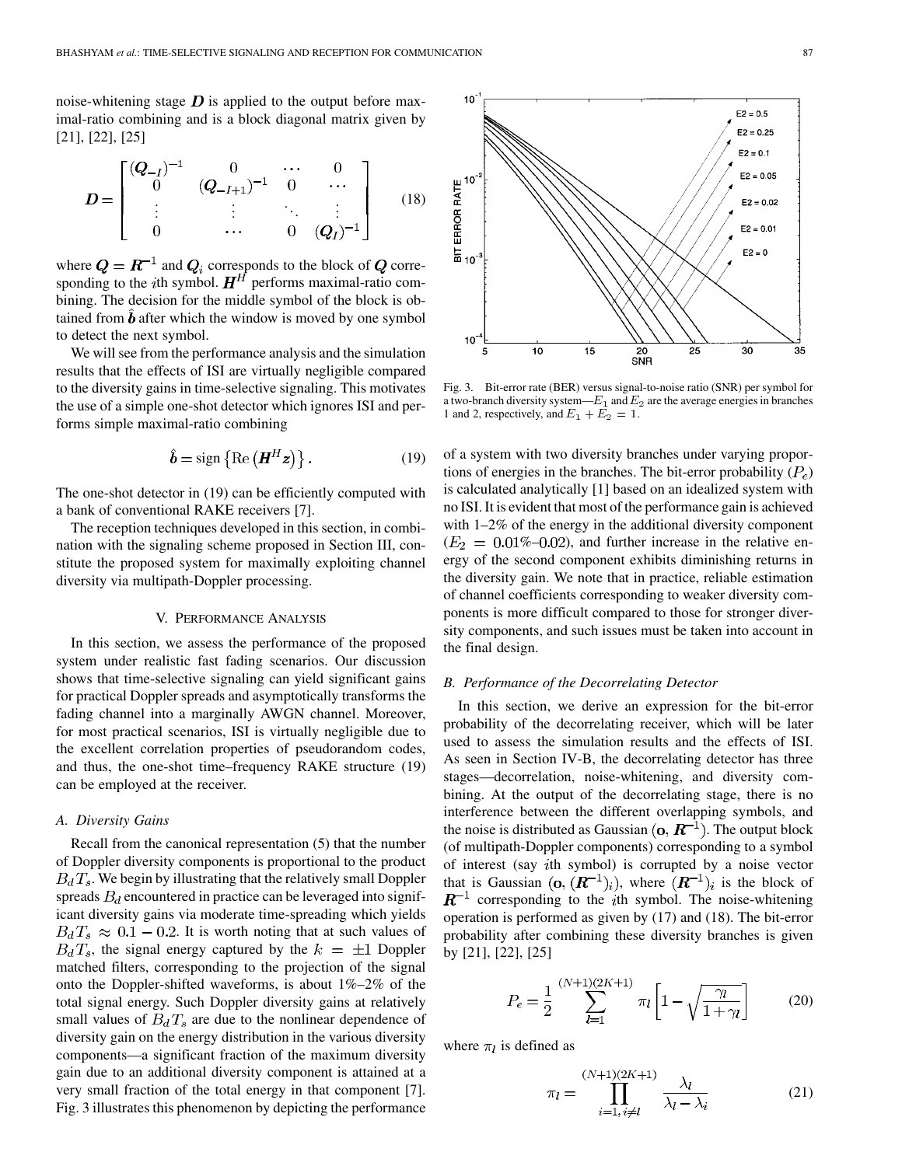noise-whitening stage  $\boldsymbol{D}$  is applied to the output before maximal-ratio combining and is a block diagonal matrix given by [21], [22], [25]

$$
D = \begin{bmatrix} (Q_{-I})^{-1} & 0 & \cdots & 0 \\ 0 & (Q_{-I+1})^{-1} & 0 & \cdots \\ \vdots & \vdots & \ddots & \vdots \\ 0 & \cdots & 0 & (Q_I)^{-1} \end{bmatrix}
$$
 (18)

where  $Q = R^{-1}$  and  $Q_i$  corresponds to the block of Q corresponding to the *i*th symbol.  $\mathbf{H}^H$  performs maximal-ratio combining. The decision for the middle symbol of the block is obtained from  $\boldsymbol{b}$  after which the window is moved by one symbol to detect the next symbol.

We will see from the performance analysis and the simulation results that the effects of ISI are virtually negligible compared to the diversity gains in time-selective signaling. This motivates the use of a simple one-shot detector which ignores ISI and performs simple maximal-ratio combining

$$
\hat{\boldsymbol{b}} = \text{sign}\left\{\text{Re}\left(\boldsymbol{H}^H \boldsymbol{z}\right)\right\}.
$$
 (19)

The one-shot detector in (19) can be efficiently computed with a bank of conventional RAKE receivers [7].

The reception techniques developed in this section, in combination with the signaling scheme proposed in Section III, constitute the proposed system for maximally exploiting channel diversity via multipath-Doppler processing.

## V. PERFORMANCE ANALYSIS

In this section, we assess the performance of the proposed system under realistic fast fading scenarios. Our discussion shows that time-selective signaling can yield significant gains for practical Doppler spreads and asymptotically transforms the fading channel into a marginally AWGN channel. Moreover, for most practical scenarios, ISI is virtually negligible due to the excellent correlation properties of pseudorandom codes, and thus, the one-shot time–frequency RAKE structure (19) can be employed at the receiver.

## *A. Diversity Gains*

Recall from the canonical representation (5) that the number of Doppler diversity components is proportional to the product  $B_d$   $T_s$ . We begin by illustrating that the relatively small Doppler spreads  $B_d$  encountered in practice can be leveraged into significant diversity gains via moderate time-spreading which yields  $B_dT_s \approx 0.1 - 0.2$ . It is worth noting that at such values of  $B_dT_s$ , the signal energy captured by the  $k = \pm 1$  Doppler matched filters, corresponding to the projection of the signal onto the Doppler-shifted waveforms, is about 1%–2% of the total signal energy. Such Doppler diversity gains at relatively small values of  $B_dT_s$  are due to the nonlinear dependence of diversity gain on the energy distribution in the various diversity components—a significant fraction of the maximum diversity gain due to an additional diversity component is attained at a very small fraction of the total energy in that component [7]. Fig. 3 illustrates this phenomenon by depicting the performance



Fig. 3. Bit-error rate (BER) versus signal-to-noise ratio (SNR) per symbol for a two-branch diversity system— $E_1$  and  $E_2$  are the average energies in branches 1 and 2, respectively, and  $E_1 + E_2 = 1$ .

of a system with two diversity branches under varying proportions of energies in the branches. The bit-error probability  $(P_e)$ is calculated analytically [1] based on an idealized system with no ISI. It is evident that most of the performance gain is achieved with  $1-2\%$  of the energy in the additional diversity component  $(E_2 = 0.01\% - 0.02)$ , and further increase in the relative energy of the second component exhibits diminishing returns in the diversity gain. We note that in practice, reliable estimation of channel coefficients corresponding to weaker diversity components is more difficult compared to those for stronger diversity components, and such issues must be taken into account in the final design.

### *B. Performance of the Decorrelating Detector*

In this section, we derive an expression for the bit-error probability of the decorrelating receiver, which will be later used to assess the simulation results and the effects of ISI. As seen in Section IV-B, the decorrelating detector has three stages—decorrelation, noise-whitening, and diversity combining. At the output of the decorrelating stage, there is no interference between the different overlapping symbols, and the noise is distributed as Gaussian ( $\mathbf{o}, \mathbf{R}^{-1}$ ). The output block (of multipath-Doppler components) corresponding to a symbol of interest (say th symbol) is corrupted by a noise vector that is Gaussian  $(o, (R^{-1})_i)$ , where  $(R^{-1})_i$  is the block of  $R^{-1}$  corresponding to the *i*th symbol. The noise-whitening operation is performed as given by (17) and (18). The bit-error probability after combining these diversity branches is given by [21], [22], [25]

$$
P_e = \frac{1}{2} \sum_{l=1}^{(N+1)(2K+1)} \pi_l \left[ 1 - \sqrt{\frac{\gamma_l}{1 + \gamma_l}} \right] \tag{20}
$$

where  $\pi_l$  is defined as

$$
\pi_l = \prod_{i=1, i \neq l}^{(N+1)(2K+1)} \frac{\lambda_l}{\lambda_l - \lambda_i}
$$
(21)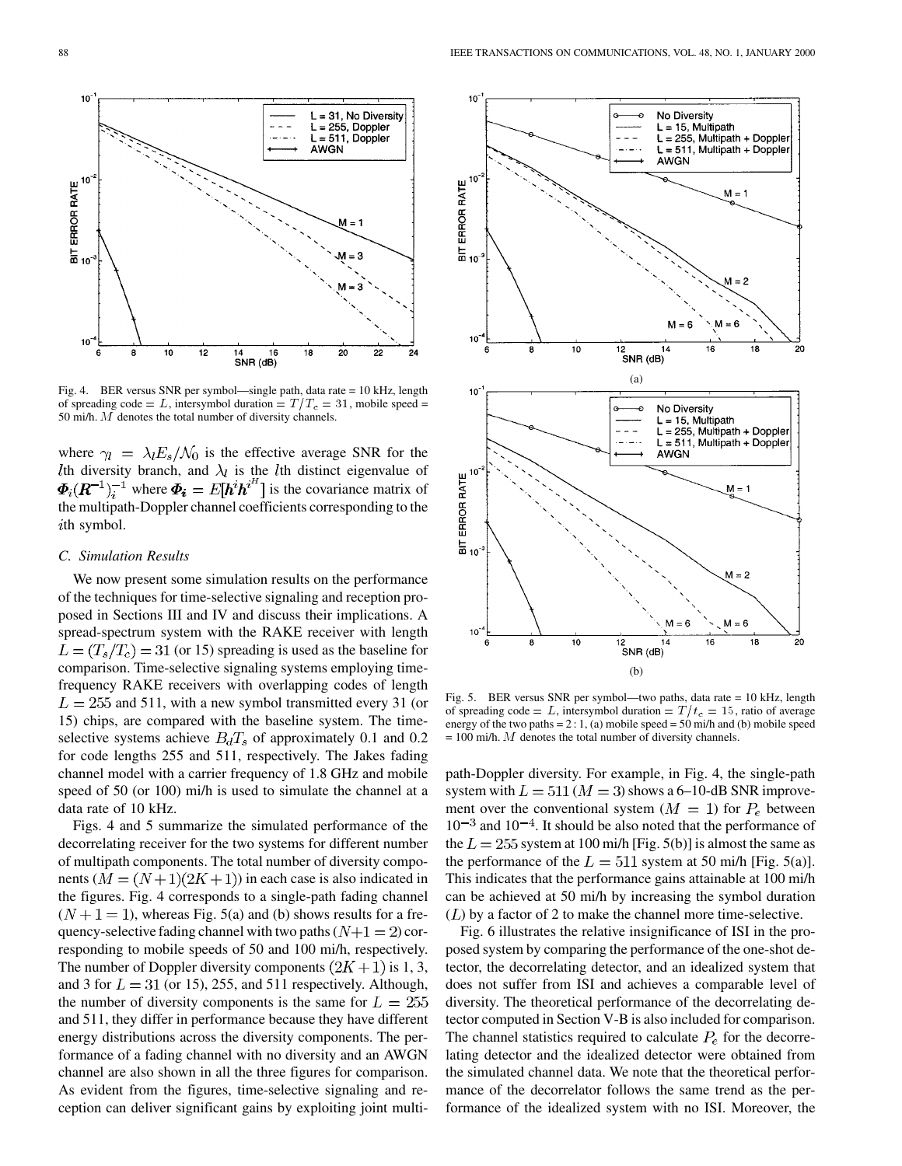

Fig. 4. BER versus SNR per symbol—single path, data rate = 10 kHz, length of spreading code = L, intersymbol duration =  $T/T_c = 31$ , mobile speed = 50 mi/h. M denotes the total number of diversity channels.

where  $\gamma_l = \lambda_l E_s / N_0$  is the effective average SNR for the Ith diversity branch, and  $\lambda_l$  is the Ith distinct eigenvalue of  $\Phi_i(\mathbf{R}^{-1})^{-1}_i$  where  $\Phi_i = E[\mathbf{h}^i \mathbf{h}^{iH}]$  is the covariance matrix of the multipath-Doppler channel coefficients corresponding to the ith symbol.

# *C. Simulation Results*

We now present some simulation results on the performance of the techniques for time-selective signaling and reception proposed in Sections III and IV and discuss their implications. A spread-spectrum system with the RAKE receiver with length  $L=(T_s/T_c)=31$  (or 15) spreading is used as the baseline for comparison. Time-selective signaling systems employing timefrequency RAKE receivers with overlapping codes of length  $L = 255$  and 511, with a new symbol transmitted every 31 (or 15) chips, are compared with the baseline system. The timeselective systems achieve  $B_dT_s$  of approximately 0.1 and 0.2 for code lengths 255 and 511, respectively. The Jakes fading channel model with a carrier frequency of 1.8 GHz and mobile speed of 50 (or 100) mi/h is used to simulate the channel at a data rate of 10 kHz.

Figs. 4 and 5 summarize the simulated performance of the decorrelating receiver for the two systems for different number of multipath components. The total number of diversity components  $(M = (N+1)(2K+1))$  in each case is also indicated in the figures. Fig. 4 corresponds to a single-path fading channel  $(N + 1 = 1)$ , whereas Fig. 5(a) and (b) shows results for a frequency-selective fading channel with two paths  $(N+1=2)$  corresponding to mobile speeds of 50 and 100 mi/h, respectively. The number of Doppler diversity components  $(2K + 1)$  is 1, 3, and 3 for  $L = 31$  (or 15), 255, and 511 respectively. Although, the number of diversity components is the same for  $L = 255$ and 511, they differ in performance because they have different energy distributions across the diversity components. The performance of a fading channel with no diversity and an AWGN channel are also shown in all the three figures for comparison. As evident from the figures, time-selective signaling and reception can deliver significant gains by exploiting joint multi-



Fig. 5. BER versus SNR per symbol—two paths, data rate = 10 kHz, length of spreading code = L, intersymbol duration =  $T/t_c = 15$ , ratio of average energy of the two paths  $= 2: 1$ , (a) mobile speed  $= 50$  mi/h and (b) mobile speed  $= 100$  mi/h. *M* denotes the total number of diversity channels.

path-Doppler diversity. For example, in Fig. 4, the single-path system with  $L = 511 (M = 3)$  shows a 6–10-dB SNR improvement over the conventional system  $(M = 1)$  for  $P_e$  between  $10^{-3}$  and  $10^{-4}$ . It should be also noted that the performance of the  $L = 255$  system at 100 mi/h [Fig. 5(b)] is almost the same as the performance of the  $L = 511$  system at 50 mi/h [Fig. 5(a)]. This indicates that the performance gains attainable at 100 mi/h can be achieved at 50 mi/h by increasing the symbol duration  $(L)$  by a factor of 2 to make the channel more time-selective.

Fig. 6 illustrates the relative insignificance of ISI in the proposed system by comparing the performance of the one-shot detector, the decorrelating detector, and an idealized system that does not suffer from ISI and achieves a comparable level of diversity. The theoretical performance of the decorrelating detector computed in Section V-B is also included for comparison. The channel statistics required to calculate  $P_e$  for the decorrelating detector and the idealized detector were obtained from the simulated channel data. We note that the theoretical performance of the decorrelator follows the same trend as the performance of the idealized system with no ISI. Moreover, the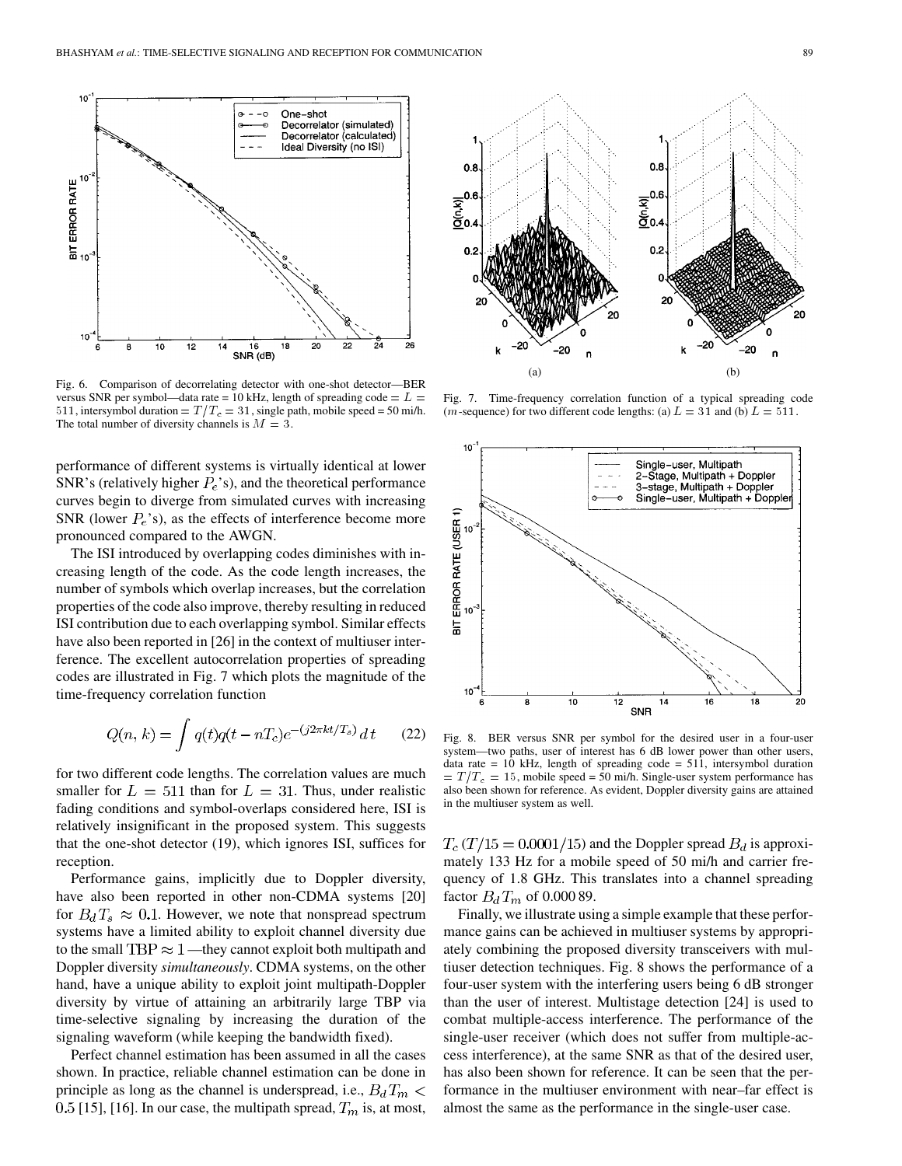

Fig. 6. Comparison of decorrelating detector with one-shot detector—BER versus SNR per symbol—data rate = 10 kHz, length of spreading code  $= L =$ 511, intersymbol duration =  $T/T_c = 31$ , single path, mobile speed = 50 mi/h. The total number of diversity channels is  $M = 3$ .

performance of different systems is virtually identical at lower SNR's (relatively higher  $P_e$ 's), and the theoretical performance curves begin to diverge from simulated curves with increasing SNR (lower  $P_e$ 's), as the effects of interference become more pronounced compared to the AWGN.

The ISI introduced by overlapping codes diminishes with increasing length of the code. As the code length increases, the number of symbols which overlap increases, but the correlation properties of the code also improve, thereby resulting in reduced ISI contribution due to each overlapping symbol. Similar effects have also been reported in [26] in the context of multiuser interference. The excellent autocorrelation properties of spreading codes are illustrated in Fig. 7 which plots the magnitude of the time-frequency correlation function

$$
Q(n, k) = \int q(t)q(t - nT_c)e^{-(j2\pi kt/T_s)} dt
$$
 (22)

for two different code lengths. The correlation values are much smaller for  $L = 511$  than for  $L = 31$ . Thus, under realistic fading conditions and symbol-overlaps considered here, ISI is relatively insignificant in the proposed system. This suggests that the one-shot detector (19), which ignores ISI, suffices for reception.

Performance gains, implicitly due to Doppler diversity, have also been reported in other non-CDMA systems [20] for  $B_d T_s \approx 0.1$ . However, we note that nonspread spectrum systems have a limited ability to exploit channel diversity due to the small  $TBP \approx 1$  —they cannot exploit both multipath and Doppler diversity *simultaneously*. CDMA systems, on the other hand, have a unique ability to exploit joint multipath-Doppler diversity by virtue of attaining an arbitrarily large TBP via time-selective signaling by increasing the duration of the signaling waveform (while keeping the bandwidth fixed).

Perfect channel estimation has been assumed in all the cases shown. In practice, reliable channel estimation can be done in principle as long as the channel is underspread, i.e.,  $B_d T_m$  < 0.5 [15], [16]. In our case, the multipath spread,  $T_m$  is, at most,



Fig. 7. Time-frequency correlation function of a typical spreading code (*m*-sequence) for two different code lengths: (a)  $L = 31$  and (b)  $L = 511$ .



Fig. 8. BER versus SNR per symbol for the desired user in a four-user system—two paths, user of interest has 6 dB lower power than other users, data rate =  $10$  kHz, length of spreading code =  $511$ , intersymbol duration  $T/T_c = 15$ , mobile speed = 50 mi/h. Single-user system performance has also been shown for reference. As evident, Doppler diversity gains are attained in the multiuser system as well.

 $T_c$  ( $T/15 = 0.0001/15$ ) and the Doppler spread  $B_d$  is approximately 133 Hz for a mobile speed of 50 mi/h and carrier frequency of 1.8 GHz. This translates into a channel spreading factor  $B_d T_m$  of 0.000 89.

Finally, we illustrate using a simple example that these performance gains can be achieved in multiuser systems by appropriately combining the proposed diversity transceivers with multiuser detection techniques. Fig. 8 shows the performance of a four-user system with the interfering users being 6 dB stronger than the user of interest. Multistage detection [24] is used to combat multiple-access interference. The performance of the single-user receiver (which does not suffer from multiple-access interference), at the same SNR as that of the desired user, has also been shown for reference. It can be seen that the performance in the multiuser environment with near–far effect is almost the same as the performance in the single-user case.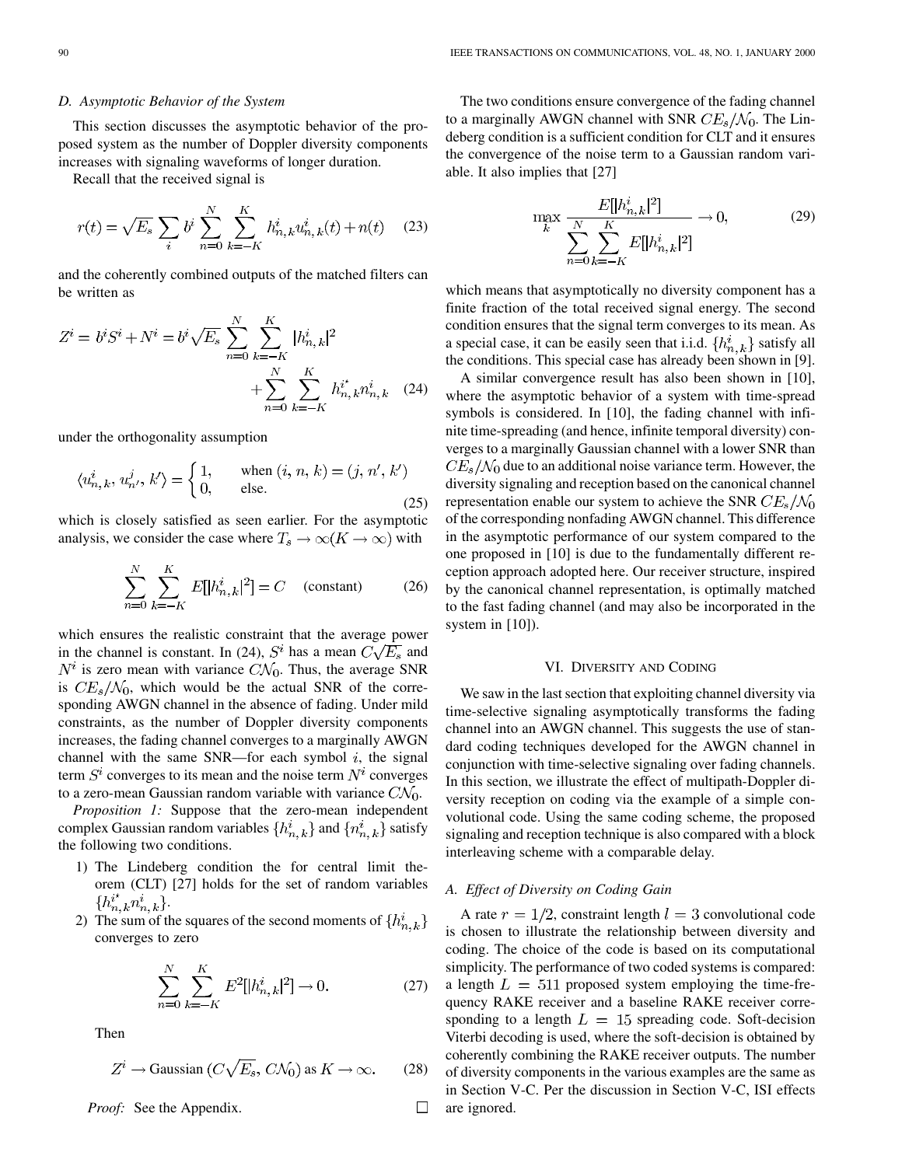#### *D. Asymptotic Behavior of the System*

This section discusses the asymptotic behavior of the proposed system as the number of Doppler diversity components increases with signaling waveforms of longer duration.

Recall that the received signal is

$$
r(t) = \sqrt{E_s} \sum_{i} b^{i} \sum_{n=0}^{N} \sum_{k=-K}^{K} h_{n,k}^{i} u_{n,k}^{i}(t) + n(t) \quad (23)
$$

and the coherently combined outputs of the matched filters can be written as

$$
Z^{i} = b^{i} S^{i} + N^{i} = b^{i} \sqrt{E_{s}} \sum_{n=0}^{N} \sum_{k=-K}^{K} |h_{n,k}^{i}|^{2} + \sum_{n=0}^{N} \sum_{k=-K}^{K} h_{n,k}^{i^{*}} n_{n,k}^{i} \quad (24)
$$

under the orthogonality assumption

$$
\langle u_{n,k}^i, u_{n'}^j, k' \rangle = \begin{cases} 1, & \text{when } (i, n, k) = (j, n', k')\\ 0, & \text{else.} \end{cases} \tag{25}
$$

which is closely satisfied as seen earlier. For the asymptotic analysis, we consider the case where  $T_s \to \infty (K \to \infty)$  with

$$
\sum_{n=0}^{N} \sum_{k=-K}^{K} E[|h_{n,k}^{i}|^{2}] = C \quad \text{(constant)} \tag{26}
$$

which ensures the realistic constraint that the average power in the channel is constant. In (24),  $S^i$  has a mean  $C\sqrt{E_s}$  and  $N^i$  is zero mean with variance  $CN_0$ . Thus, the average SNR is  $CE_s/\mathcal{N}_0$ , which would be the actual SNR of the corresponding AWGN channel in the absence of fading. Under mild constraints, as the number of Doppler diversity components increases, the fading channel converges to a marginally AWGN channel with the same SNR—for each symbol  $i$ , the signal term  $S^i$  converges to its mean and the noise term  $N^i$  converges to a zero-mean Gaussian random variable with variance  $CN_0$ .

*Proposition 1:* Suppose that the zero-mean independent complex Gaussian random variables  $\{h_{n,k}^i\}$  and  $\{n_{n,k}^i\}$  satisfy the following two conditions.

- 1) The Lindeberg condition the for central limit theorem (CLT) [27] holds for the set of random variables  $\{h_{n,k}^i n_{n,k}^i\}.$
- 2) The sum of the squares of the second moments of  $\{h_{n,k}^i\}$ converges to zero

$$
\sum_{n=0}^{N} \sum_{k=-K}^{K} E^2[|h_{n,k}^i|^2] \to 0. \tag{27}
$$

 $\Box$ 

Then

$$
Z^i \to \text{Gaussian}(C\sqrt{E_s}, C\mathcal{N}_0) \text{ as } K \to \infty.
$$
 (28)

*Proof:* See the Appendix.

The two conditions ensure convergence of the fading channel to a marginally AWGN channel with SNR  $CE_s/N_0$ . The Lindeberg condition is a sufficient condition for CLT and it ensures the convergence of the noise term to a Gaussian random variable. It also implies that [27]

$$
\max_{k} \frac{E[|h_{n,k}^i|^2]}{\sum_{n=0}^{N} \sum_{k=-K}^{K} E[|h_{n,k}^i|^2]} \to 0,
$$
\n(29)

which means that asymptotically no diversity component has a finite fraction of the total received signal energy. The second condition ensures that the signal term converges to its mean. As a special case, it can be easily seen that i.i.d.  $\{h_{n,k}^i\}$  satisfy all the conditions. This special case has already been shown in [9].

A similar convergence result has also been shown in [10], where the asymptotic behavior of a system with time-spread symbols is considered. In [10], the fading channel with infinite time-spreading (and hence, infinite temporal diversity) converges to a marginally Gaussian channel with a lower SNR than  $CE_s/N_0$  due to an additional noise variance term. However, the diversity signaling and reception based on the canonical channel representation enable our system to achieve the SNR  $CE_s/N_0$ of the corresponding nonfading AWGN channel. This difference in the asymptotic performance of our system compared to the one proposed in [10] is due to the fundamentally different reception approach adopted here. Our receiver structure, inspired by the canonical channel representation, is optimally matched to the fast fading channel (and may also be incorporated in the system in [10]).

#### VI. DIVERSITY AND CODING

We saw in the last section that exploiting channel diversity via time-selective signaling asymptotically transforms the fading channel into an AWGN channel. This suggests the use of standard coding techniques developed for the AWGN channel in conjunction with time-selective signaling over fading channels. In this section, we illustrate the effect of multipath-Doppler diversity reception on coding via the example of a simple convolutional code. Using the same coding scheme, the proposed signaling and reception technique is also compared with a block interleaving scheme with a comparable delay.

## *A. Effect of Diversity on Coding Gain*

A rate  $r = 1/2$ , constraint length  $l = 3$  convolutional code is chosen to illustrate the relationship between diversity and coding. The choice of the code is based on its computational simplicity. The performance of two coded systems is compared: a length  $L = 511$  proposed system employing the time-frequency RAKE receiver and a baseline RAKE receiver corresponding to a length  $L = 15$  spreading code. Soft-decision Viterbi decoding is used, where the soft-decision is obtained by coherently combining the RAKE receiver outputs. The number of diversity components in the various examples are the same as in Section V-C. Per the discussion in Section V-C, ISI effects are ignored.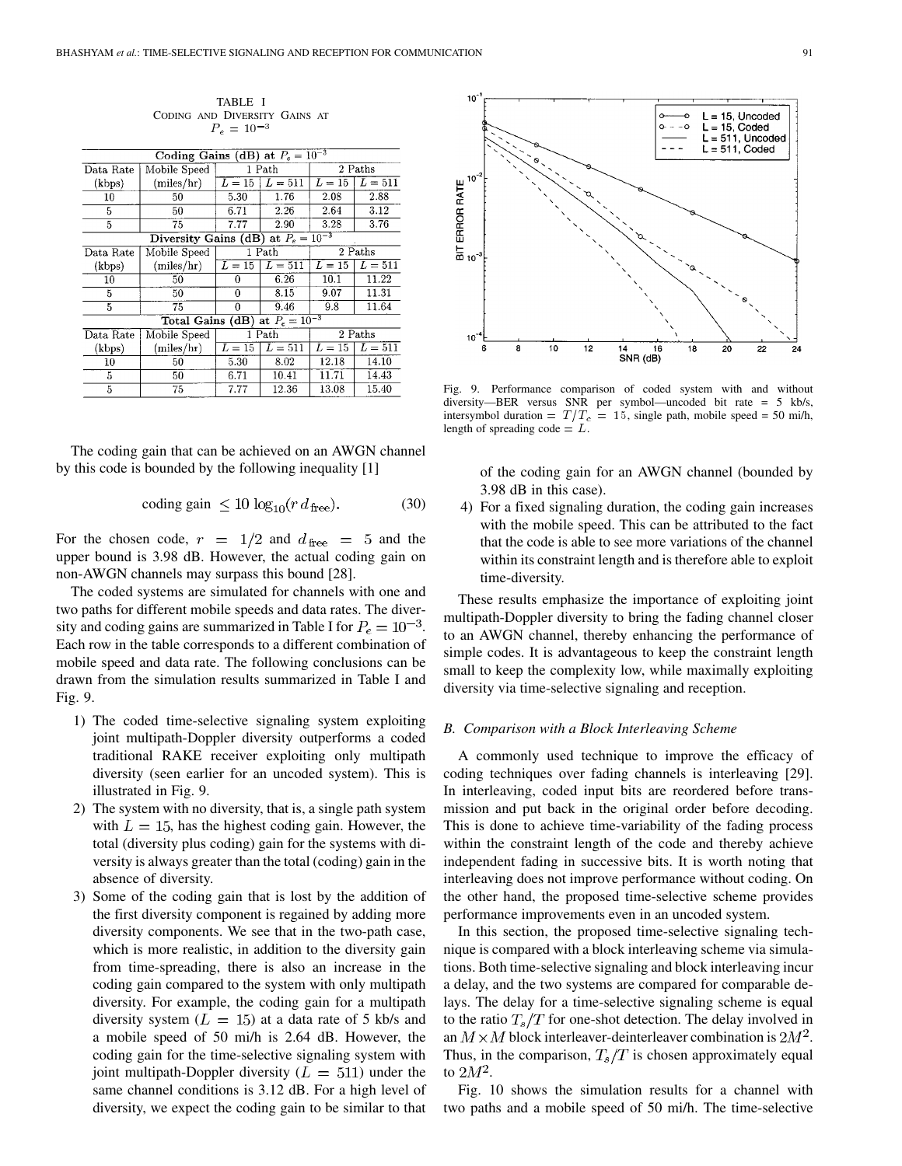Coding Gains (dB) at  $P_e = 10^{-3}$  $\overline{2 \text{ Paths}}$ Data Rate Mobile Speed 1 Path  $L = 15$   $L = 511$  $L = 15$   $L = 511$  $(k$ bps)  $(miles/hr)$  $\overline{10}$ 50 5.30 1.76 2.08 2.88  $\overline{5}$ 50  $6.71$  $2.26$  $2.64$  $3.12$  $\overline{5}$  $\overline{75}$  $7.77$ 2.90  $3.28$  $3.76$  $= 10^{-3}$ Diversity Gains (dB) at  $P_e$ Data Rate Mobile Speed 1 Path 2 Paths  $\overline{L} = 15$  $L = 511$  $L = 15$   $L = 511$  $(kbps)$  $(miles/hr)$  $10$  $50$  $\theta$  $6.26$  $10.1$ 11.22  $8.15$  $11.31$  $9.07$  $\overline{5}$  $50$  $\overline{0}$ 9.46  $\overline{9.8}$  $\overline{5}$  $\overline{75}$  $\overline{0}$ 11.64 Total Gains (dB) at  $P_e = 10^{-1}$ Data Rate Mobile Speed 1 Path 2 Paths  $L = 511$  $L=511$  $\overline{L} = 15$  $(kbps)$  $(miles/hr)$  $L=15$  $8.02$  $\overline{10}$  $50$  $5.30$  $12.18$  $14.10$ 6.71 5 50 10.41 11.71 14 43  $\overline{5}$  $\overline{75}$ 7.77  $12.36$ 13.08 15.40

TABLE I CODING AND DIVERSITY GAINS AT  $P_e = 10^{-3}$ 

The coding gain that can be achieved on an AWGN channel by this code is bounded by the following inequality [1]

$$
coding gain \le 10 \log_{10}(r d_{free}). \tag{30}
$$

For the chosen code,  $r = 1/2$  and  $d_{\text{free}} = 5$  and the upper bound is 3.98 dB. However, the actual coding gain on non-AWGN channels may surpass this bound [28].

The coded systems are simulated for channels with one and two paths for different mobile speeds and data rates. The diversity and coding gains are summarized in Table I for  $P_e = 10^{-3}$ . Each row in the table corresponds to a different combination of mobile speed and data rate. The following conclusions can be drawn from the simulation results summarized in Table I and Fig. 9.

- 1) The coded time-selective signaling system exploiting joint multipath-Doppler diversity outperforms a coded traditional RAKE receiver exploiting only multipath diversity (seen earlier for an uncoded system). This is illustrated in Fig. 9.
- 2) The system with no diversity, that is, a single path system with  $L = 15$ , has the highest coding gain. However, the total (diversity plus coding) gain for the systems with diversity is always greater than the total (coding) gain in the absence of diversity.
- 3) Some of the coding gain that is lost by the addition of the first diversity component is regained by adding more diversity components. We see that in the two-path case, which is more realistic, in addition to the diversity gain from time-spreading, there is also an increase in the coding gain compared to the system with only multipath diversity. For example, the coding gain for a multipath diversity system ( $L = 15$ ) at a data rate of 5 kb/s and a mobile speed of 50 mi/h is 2.64 dB. However, the coding gain for the time-selective signaling system with joint multipath-Doppler diversity  $(L = 511)$  under the same channel conditions is 3.12 dB. For a high level of diversity, we expect the coding gain to be similar to that



Fig. 9. Performance comparison of coded system with and without diversity—BER versus SNR per symbol—uncoded bit rate = 5 kb/s, intersymbol duration =  $T/T_c$  = 15, single path, mobile speed = 50 mi/h, length of spreading code  $= L$ .

of the coding gain for an AWGN channel (bounded by 3.98 dB in this case).

4) For a fixed signaling duration, the coding gain increases with the mobile speed. This can be attributed to the fact that the code is able to see more variations of the channel within its constraint length and is therefore able to exploit time-diversity.

These results emphasize the importance of exploiting joint multipath-Doppler diversity to bring the fading channel closer to an AWGN channel, thereby enhancing the performance of simple codes. It is advantageous to keep the constraint length small to keep the complexity low, while maximally exploiting diversity via time-selective signaling and reception.

## *B. Comparison with a Block Interleaving Scheme*

A commonly used technique to improve the efficacy of coding techniques over fading channels is interleaving [29]. In interleaving, coded input bits are reordered before transmission and put back in the original order before decoding. This is done to achieve time-variability of the fading process within the constraint length of the code and thereby achieve independent fading in successive bits. It is worth noting that interleaving does not improve performance without coding. On the other hand, the proposed time-selective scheme provides performance improvements even in an uncoded system.

In this section, the proposed time-selective signaling technique is compared with a block interleaving scheme via simulations. Both time-selective signaling and block interleaving incur a delay, and the two systems are compared for comparable delays. The delay for a time-selective signaling scheme is equal to the ratio  $T_s/T$  for one-shot detection. The delay involved in an  $M \times M$  block interleaver-deinterleaver combination is  $2M^2$ . Thus, in the comparison,  $T_s/T$  is chosen approximately equal to  $2M^2$ .

Fig. 10 shows the simulation results for a channel with two paths and a mobile speed of 50 mi/h. The time-selective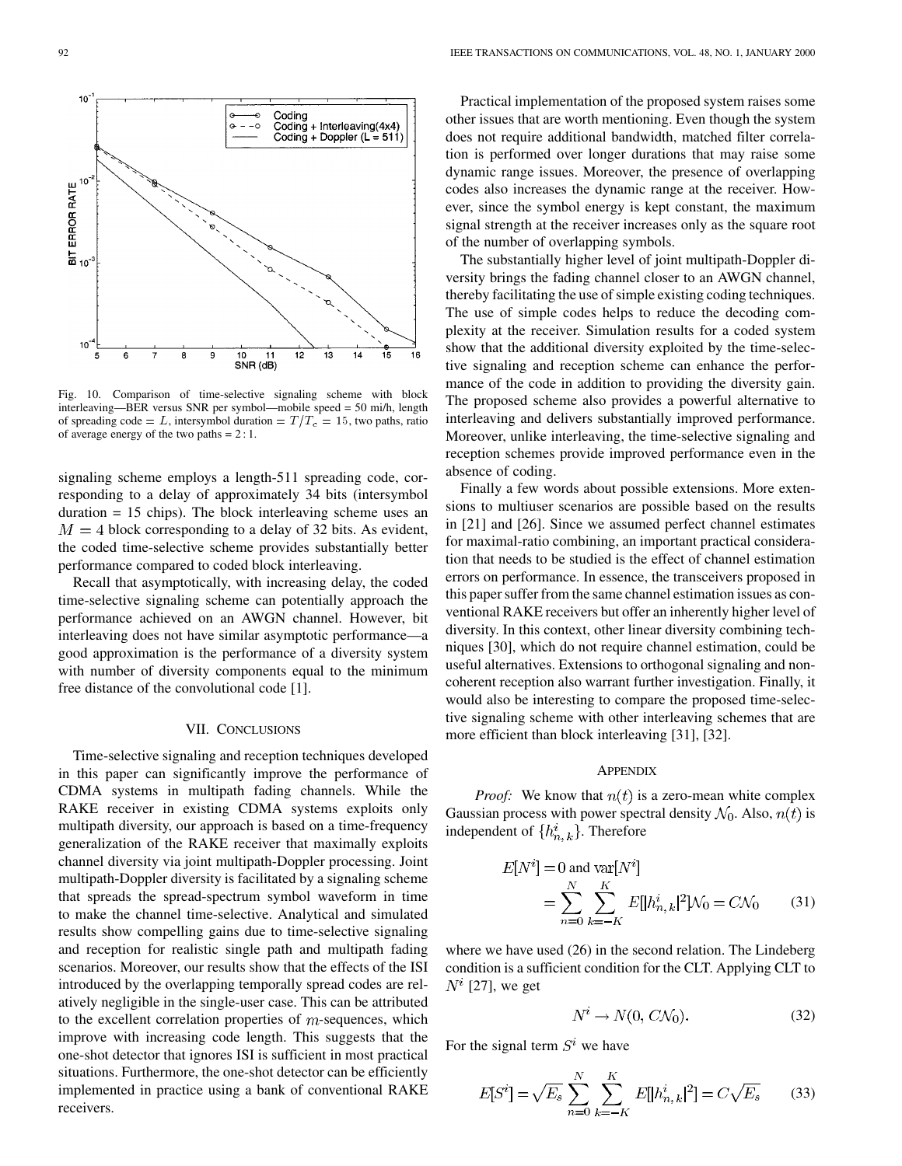$10$ 



Fig. 10. Comparison of time-selective signaling scheme with block interleaving—BER versus SNR per symbol—mobile speed = 50 mi/h, length of spreading code = L, intersymbol duration =  $T/T_c = 15$ , two paths, ratio of average energy of the two paths  $= 2:1$ .

signaling scheme employs a length-511 spreading code, corresponding to a delay of approximately 34 bits (intersymbol  $duration = 15$  chips). The block interleaving scheme uses an  $M = 4$  block corresponding to a delay of 32 bits. As evident, the coded time-selective scheme provides substantially better performance compared to coded block interleaving.

Recall that asymptotically, with increasing delay, the coded time-selective signaling scheme can potentially approach the performance achieved on an AWGN channel. However, bit interleaving does not have similar asymptotic performance—a good approximation is the performance of a diversity system with number of diversity components equal to the minimum free distance of the convolutional code [1].

# VII. CONCLUSIONS

Time-selective signaling and reception techniques developed in this paper can significantly improve the performance of CDMA systems in multipath fading channels. While the RAKE receiver in existing CDMA systems exploits only multipath diversity, our approach is based on a time-frequency generalization of the RAKE receiver that maximally exploits channel diversity via joint multipath-Doppler processing. Joint multipath-Doppler diversity is facilitated by a signaling scheme that spreads the spread-spectrum symbol waveform in time to make the channel time-selective. Analytical and simulated results show compelling gains due to time-selective signaling and reception for realistic single path and multipath fading scenarios. Moreover, our results show that the effects of the ISI introduced by the overlapping temporally spread codes are relatively negligible in the single-user case. This can be attributed to the excellent correlation properties of  $m$ -sequences, which improve with increasing code length. This suggests that the one-shot detector that ignores ISI is sufficient in most practical situations. Furthermore, the one-shot detector can be efficiently implemented in practice using a bank of conventional RAKE receivers.

Practical implementation of the proposed system raises some other issues that are worth mentioning. Even though the system does not require additional bandwidth, matched filter correlation is performed over longer durations that may raise some dynamic range issues. Moreover, the presence of overlapping codes also increases the dynamic range at the receiver. However, since the symbol energy is kept constant, the maximum signal strength at the receiver increases only as the square root of the number of overlapping symbols.

The substantially higher level of joint multipath-Doppler diversity brings the fading channel closer to an AWGN channel, thereby facilitating the use of simple existing coding techniques. The use of simple codes helps to reduce the decoding complexity at the receiver. Simulation results for a coded system show that the additional diversity exploited by the time-selective signaling and reception scheme can enhance the performance of the code in addition to providing the diversity gain. The proposed scheme also provides a powerful alternative to interleaving and delivers substantially improved performance. Moreover, unlike interleaving, the time-selective signaling and reception schemes provide improved performance even in the absence of coding.

Finally a few words about possible extensions. More extensions to multiuser scenarios are possible based on the results in [21] and [26]. Since we assumed perfect channel estimates for maximal-ratio combining, an important practical consideration that needs to be studied is the effect of channel estimation errors on performance. In essence, the transceivers proposed in this paper suffer from the same channel estimation issues as conventional RAKE receivers but offer an inherently higher level of diversity. In this context, other linear diversity combining techniques [30], which do not require channel estimation, could be useful alternatives. Extensions to orthogonal signaling and noncoherent reception also warrant further investigation. Finally, it would also be interesting to compare the proposed time-selective signaling scheme with other interleaving schemes that are more efficient than block interleaving [31], [32].

# **APPENDIX**

*Proof:* We know that  $n(t)$  is a zero-mean white complex Gaussian process with power spectral density  $\mathcal{N}_0$ . Also,  $n(t)$  is independent of  $\{h_{n,k}^i\}$ . Therefore

$$
E[N^{i}] = 0 \text{ and } \text{var}[N^{i}]
$$
  
= 
$$
\sum_{n=0}^{N} \sum_{k=-K}^{K} E[|h_{n,k}^{i}|^{2}] \mathcal{N}_{0} = C \mathcal{N}_{0}
$$
 (31)

where we have used (26) in the second relation. The Lindeberg condition is a sufficient condition for the CLT. Applying CLT to  $N^i$  [27], we get

$$
N^i \to N(0, C\mathcal{N}_0). \tag{32}
$$

For the signal term  $S^i$  we have

$$
E[S^i] = \sqrt{E_s} \sum_{n=0}^{N} \sum_{k=-K}^{K} E[|h_{n,k}^i|^2] = C\sqrt{E_s}
$$
 (33)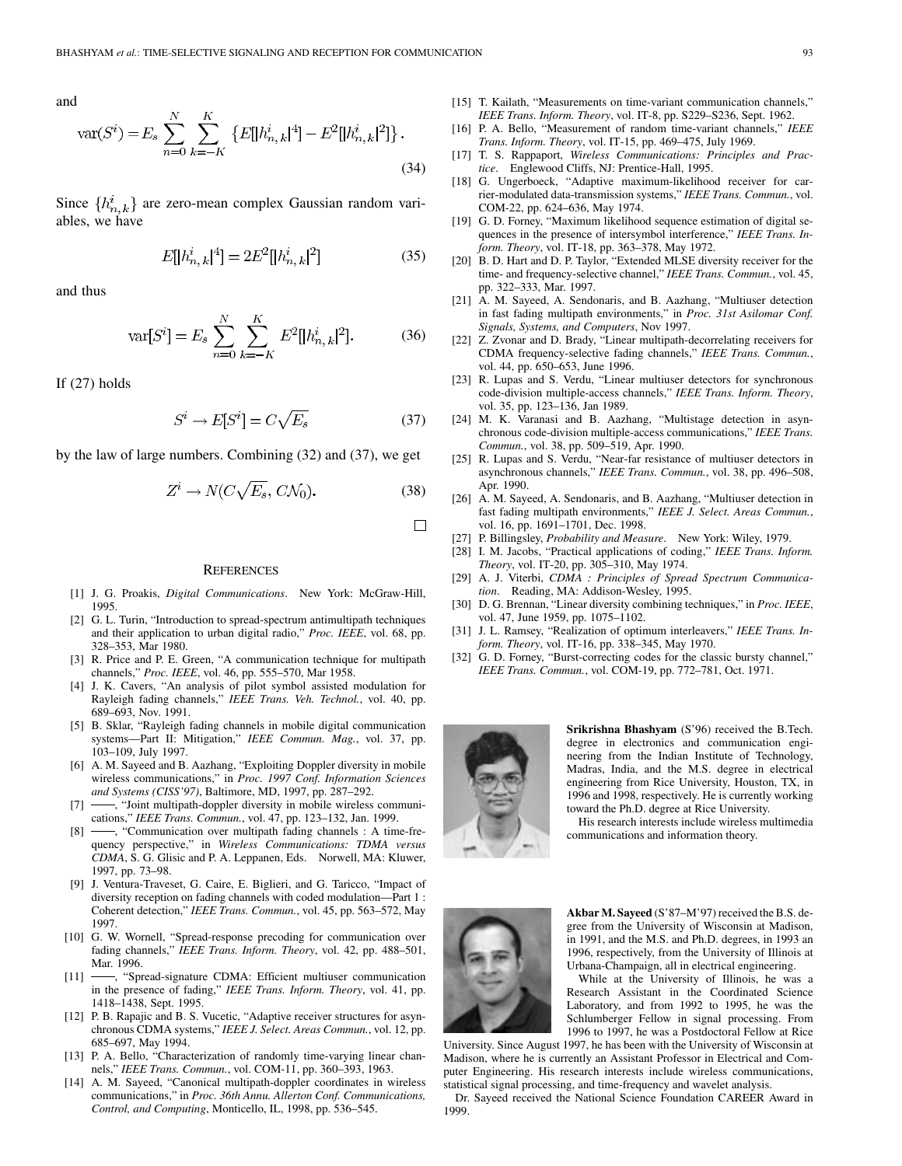and

$$
\text{var}(S^i) = E_s \sum_{n=0}^{N} \sum_{k=-K}^{K} \left\{ E[|h_{n,k}^i|^4] - E^2[|h_{n,k}^i|^2] \right\}.
$$
\n(34)

Since  $\{h_{n,k}^i\}$  are zero-mean complex Gaussian random variables, we have

$$
E[|h_{n,k}^i|^4] = 2E^2[|h_{n,k}^i|^2]
$$
\n(35)

and thus

$$
var[S^i] = E_s \sum_{n=0}^{N} \sum_{k=-K}^{K} E^2 [ |h_{n,k}^i|^2].
$$
 (36)

If (27) holds

$$
S^i \to E[S^i] = C\sqrt{E_s} \tag{37}
$$

by the law of large numbers. Combining (32) and (37), we get

$$
Z^i \to N(C\sqrt{E_s}, C\mathcal{N}_0). \tag{38}
$$

 $\Box$ 

#### **REFERENCES**

- [1] J. G. Proakis, *Digital Communications*. New York: McGraw-Hill, 1995.
- [2] G. L. Turin, "Introduction to spread-spectrum antimultipath techniques and their application to urban digital radio," *Proc. IEEE*, vol. 68, pp. 328–353, Mar 1980.
- [3] R. Price and P. E. Green, "A communication technique for multipath channels," *Proc. IEEE*, vol. 46, pp. 555–570, Mar 1958.
- [4] J. K. Cavers, "An analysis of pilot symbol assisted modulation for Rayleigh fading channels," *IEEE Trans. Veh. Technol.*, vol. 40, pp. 689–693, Nov. 1991.
- [5] B. Sklar, "Rayleigh fading channels in mobile digital communication systems—Part II: Mitigation," *IEEE Commun. Mag.*, vol. 37, pp. 103–109, July 1997.
- [6] A. M. Sayeed and B. Aazhang, "Exploiting Doppler diversity in mobile wireless communications," in *Proc. 1997 Conf. Information Sciences and Systems (CISS'97)*, Baltimore, MD, 1997, pp. 287–292.
- [7] -, "Joint multipath-doppler diversity in mobile wireless communications," *IEEE Trans. Commun.*, vol. 47, pp. 123–132, Jan. 1999.
- $-$ , "Communication over multipath fading channels : A time-frequency perspective," in *Wireless Communications: TDMA versus CDMA*, S. G. Glisic and P. A. Leppanen, Eds. Norwell, MA: Kluwer, 1997, pp. 73–98.
- [9] J. Ventura-Traveset, G. Caire, E. Biglieri, and G. Taricco, "Impact of diversity reception on fading channels with coded modulation—Part 1 : Coherent detection," *IEEE Trans. Commun.*, vol. 45, pp. 563–572, May 1997.
- [10] G. W. Wornell, "Spread-response precoding for communication over fading channels," *IEEE Trans. Inform. Theory*, vol. 42, pp. 488–501, Mar. 1996.
- [11] -, "Spread-signature CDMA: Efficient multiuser communication in the presence of fading," *IEEE Trans. Inform. Theory*, vol. 41, pp. 1418–1438, Sept. 1995.
- [12] P. B. Rapajic and B. S. Vucetic, "Adaptive receiver structures for asynchronous CDMA systems," *IEEE J. Select. Areas Commun.*, vol. 12, pp. 685–697, May 1994.
- [13] P. A. Bello, "Characterization of randomly time-varying linear channels," *IEEE Trans. Commun.*, vol. COM-11, pp. 360–393, 1963.
- [14] A. M. Sayeed, "Canonical multipath-doppler coordinates in wireless communications," in *Proc. 36th Annu. Allerton Conf. Communications, Control, and Computing*, Monticello, IL, 1998, pp. 536–545.
- [15] T. Kailath, "Measurements on time-variant communication channels," *IEEE Trans. Inform. Theory*, vol. IT-8, pp. S229–S236, Sept. 1962.
- [16] P. A. Bello, "Measurement of random time-variant channels," *IEEE Trans. Inform. Theory*, vol. IT-15, pp. 469–475, July 1969.
- [17] T. S. Rappaport, *Wireless Communications: Principles and Practice*. Englewood Cliffs, NJ: Prentice-Hall, 1995.
- [18] G. Ungerboeck, "Adaptive maximum-likelihood receiver for carrier-modulated data-transmission systems," *IEEE Trans. Commun.*, vol. COM-22, pp. 624–636, May 1974.
- [19] G. D. Forney, "Maximum likelihood sequence estimation of digital sequences in the presence of intersymbol interference," *IEEE Trans. Inform. Theory*, vol. IT-18, pp. 363–378, May 1972.
- [20] B. D. Hart and D. P. Taylor, "Extended MLSE diversity receiver for the time- and frequency-selective channel," *IEEE Trans. Commun.*, vol. 45, pp. 322–333, Mar. 1997.
- [21] A. M. Sayeed, A. Sendonaris, and B. Aazhang, "Multiuser detection in fast fading multipath environments," in *Proc. 31st Asilomar Conf. Signals, Systems, and Computers*, Nov 1997.
- [22] Z. Zvonar and D. Brady, "Linear multipath-decorrelating receivers for CDMA frequency-selective fading channels," *IEEE Trans. Commun.*, vol. 44, pp. 650–653, June 1996.
- [23] R. Lupas and S. Verdu, "Linear multiuser detectors for synchronous code-division multiple-access channels," *IEEE Trans. Inform. Theory*, vol. 35, pp. 123–136, Jan 1989.
- [24] M. K. Varanasi and B. Aazhang, "Multistage detection in asynchronous code-division multiple-access communications," *IEEE Trans. Commun.*, vol. 38, pp. 509–519, Apr. 1990.
- [25] R. Lupas and S. Verdu, "Near-far resistance of multiuser detectors in asynchronous channels," *IEEE Trans. Commun.*, vol. 38, pp. 496–508, Apr. 1990.
- [26] A. M. Sayeed, A. Sendonaris, and B. Aazhang, "Multiuser detection in fast fading multipath environments," *IEEE J. Select. Areas Commun.*, vol. 16, pp. 1691–1701, Dec. 1998.
- [27] P. Billingsley, *Probability and Measure*. New York: Wiley, 1979.
- [28] I. M. Jacobs, "Practical applications of coding," *IEEE Trans. Inform. Theory*, vol. IT-20, pp. 305–310, May 1974.
- [29] A. J. Viterbi, *CDMA : Principles of Spread Spectrum Communication*. Reading, MA: Addison-Wesley, 1995.
- [30] D. G. Brennan, "Linear diversity combining techniques," in *Proc. IEEE*, vol. 47, June 1959, pp. 1075–1102.
- [31] J. L. Ramsey, "Realization of optimum interleavers," *IEEE Trans. Inform. Theory*, vol. IT-16, pp. 338–345, May 1970.
- [32] G. D. Forney, "Burst-correcting codes for the classic bursty channel," *IEEE Trans. Commun.*, vol. COM-19, pp. 772–781, Oct. 1971.



**Srikrishna Bhashyam** (S'96) received the B.Tech. degree in electronics and communication engineering from the Indian Institute of Technology, Madras, India, and the M.S. degree in electrical engineering from Rice University, Houston, TX, in 1996 and 1998, respectively. He is currently working toward the Ph.D. degree at Rice University.

His research interests include wireless multimedia communications and information theory.



**Akbar M. Sayeed** (S'87–M'97) received the B.S. degree from the University of Wisconsin at Madison, in 1991, and the M.S. and Ph.D. degrees, in 1993 an 1996, respectively, from the University of Illinois at Urbana-Champaign, all in electrical engineering.

While at the University of Illinois, he was a Research Assistant in the Coordinated Science Laboratory, and from 1992 to 1995, he was the Schlumberger Fellow in signal processing. From 1996 to 1997, he was a Postdoctoral Fellow at Rice

University. Since August 1997, he has been with the University of Wisconsin at Madison, where he is currently an Assistant Professor in Electrical and Computer Engineering. His research interests include wireless communications, statistical signal processing, and time-frequency and wavelet analysis.

Dr. Sayeed received the National Science Foundation CAREER Award in 1999.